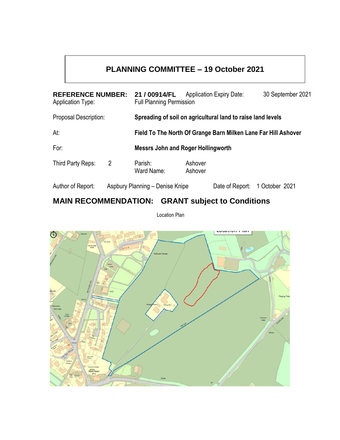# **PLANNING COMMITTEE – 19 October 2021**

| <b>REFERENCE NUMBER:</b><br><b>Application Type:</b> |                                 | 21 / 00914/FL<br><b>Full Planning Permission</b>               |                    | <b>Application Expiry Date:</b> | 30 September 2021 |
|------------------------------------------------------|---------------------------------|----------------------------------------------------------------|--------------------|---------------------------------|-------------------|
| <b>Proposal Description:</b>                         |                                 | Spreading of soil on agricultural land to raise land levels    |                    |                                 |                   |
| At:                                                  |                                 | Field To The North Of Grange Barn Milken Lane Far Hill Ashover |                    |                                 |                   |
| For:                                                 |                                 | <b>Messrs John and Roger Hollingworth</b>                      |                    |                                 |                   |
| Third Party Reps:                                    | $\overline{2}$                  | Parish:<br>Ward Name:                                          | Ashover<br>Ashover |                                 |                   |
| Author of Report:                                    | Aspbury Planning - Denise Knipe |                                                                |                    | Date of Report:                 | 1 October 2021    |

# **MAIN RECOMMENDATION: GRANT subject to Conditions**

Location Plan

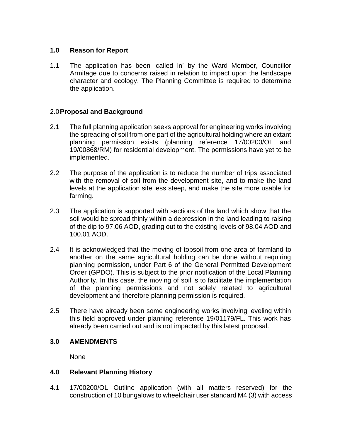## **1.0 Reason for Report**

1.1 The application has been 'called in' by the Ward Member, Councillor Armitage due to concerns raised in relation to impact upon the landscape character and ecology. The Planning Committee is required to determine the application.

# 2.0**Proposal and Background**

- 2.1 The full planning application seeks approval for engineering works involving the spreading of soil from one part of the agricultural holding where an extant planning permission exists (planning reference 17/00200/OL and 19/00868/RM) for residential development. The permissions have yet to be implemented.
- 2.2 The purpose of the application is to reduce the number of trips associated with the removal of soil from the development site, and to make the land levels at the application site less steep, and make the site more usable for farming.
- 2.3 The application is supported with sections of the land which show that the soil would be spread thinly within a depression in the land leading to raising of the dip to 97.06 AOD, grading out to the existing levels of 98.04 AOD and 100.01 AOD.
- 2.4 It is acknowledged that the moving of topsoil from one area of farmland to another on the same agricultural holding can be done without requiring planning permission, under Part 6 of the General Permitted Development Order (GPDO). This is subject to the prior notification of the Local Planning Authority. In this case, the moving of soil is to facilitate the implementation of the planning permissions and not solely related to agricultural development and therefore planning permission is required.
- 2.5 There have already been some engineering works involving leveling within this field approved under planning reference 19/01179/FL. This work has already been carried out and is not impacted by this latest proposal.

## **3.0 AMENDMENTS**

None

## **4.0 Relevant Planning History**

4.1 17/00200/OL Outline application (with all matters reserved) for the construction of 10 bungalows to wheelchair user standard M4 (3) with access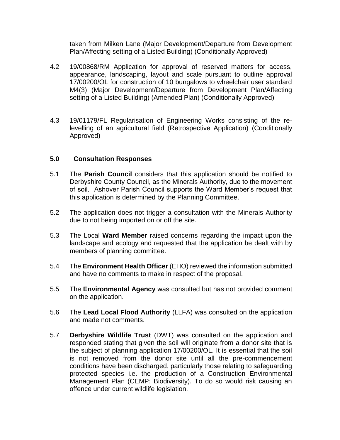taken from Milken Lane (Major Development/Departure from Development Plan/Affecting setting of a Listed Building) (Conditionally Approved)

- 4.2 19/00868/RM Application for approval of reserved matters for access, appearance, landscaping, layout and scale pursuant to outline approval 17/00200/OL for construction of 10 bungalows to wheelchair user standard M4(3) (Major Development/Departure from Development Plan/Affecting setting of a Listed Building) (Amended Plan) (Conditionally Approved)
- 4.3 19/01179/FL Regularisation of Engineering Works consisting of the relevelling of an agricultural field (Retrospective Application) (Conditionally Approved)

## **5.0 Consultation Responses**

- 5.1 The **Parish Council** considers that this application should be notified to Derbyshire County Council, as the Minerals Authority, due to the movement of soil. Ashover Parish Council supports the Ward Member's request that this application is determined by the Planning Committee.
- 5.2 The application does not trigger a consultation with the Minerals Authority due to not being imported on or off the site.
- 5.3 The Local **Ward Member** raised concerns regarding the impact upon the landscape and ecology and requested that the application be dealt with by members of planning committee.
- 5.4 The **Environment Health Officer** (EHO) reviewed the information submitted and have no comments to make in respect of the proposal.
- 5.5 The **Environmental Agency** was consulted but has not provided comment on the application.
- 5.6 The **Lead Local Flood Authority** (LLFA) was consulted on the application and made not comments.
- 5.7 **Derbyshire Wildlife Trust** (DWT) was consulted on the application and responded stating that given the soil will originate from a donor site that is the subject of planning application 17/00200/OL. It is essential that the soil is not removed from the donor site until all the pre-commencement conditions have been discharged, particularly those relating to safeguarding protected species i.e. the production of a Construction Environmental Management Plan (CEMP: Biodiversity). To do so would risk causing an offence under current wildlife legislation.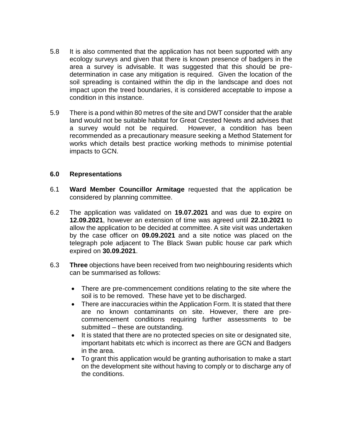- 5.8 It is also commented that the application has not been supported with any ecology surveys and given that there is known presence of badgers in the area a survey is advisable. It was suggested that this should be predetermination in case any mitigation is required. Given the location of the soil spreading is contained within the dip in the landscape and does not impact upon the treed boundaries, it is considered acceptable to impose a condition in this instance.
- 5.9 There is a pond within 80 metres of the site and DWT consider that the arable land would not be suitable habitat for Great Crested Newts and advises that a survey would not be required. However, a condition has been recommended as a precautionary measure seeking a Method Statement for works which details best practice working methods to minimise potential impacts to GCN.

## **6.0 Representations**

- 6.1 **Ward Member Councillor Armitage** requested that the application be considered by planning committee.
- 6.2 The application was validated on **19.07.2021** and was due to expire on **12.09.2021**, however an extension of time was agreed until **22.10.2021** to allow the application to be decided at committee. A site visit was undertaken by the case officer on **09.09.2021** and a site notice was placed on the telegraph pole adjacent to The Black Swan public house car park which expired on **30.09.2021**.
- 6.3 **Three** objections have been received from two neighbouring residents which can be summarised as follows:
	- There are pre-commencement conditions relating to the site where the soil is to be removed. These have yet to be discharged.
	- There are inaccuracies within the Application Form. It is stated that there are no known contaminants on site. However, there are precommencement conditions requiring further assessments to be submitted – these are outstanding.
	- It is stated that there are no protected species on site or designated site, important habitats etc which is incorrect as there are GCN and Badgers in the area.
	- To grant this application would be granting authorisation to make a start on the development site without having to comply or to discharge any of the conditions.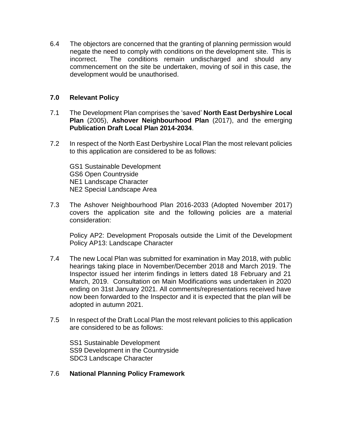6.4 The objectors are concerned that the granting of planning permission would negate the need to comply with conditions on the development site. This is incorrect. The conditions remain undischarged and should any commencement on the site be undertaken, moving of soil in this case, the development would be unauthorised.

## **7.0 Relevant Policy**

- 7.1 The Development Plan comprises the 'saved' **North East Derbyshire Local Plan** (2005), **Ashover Neighbourhood Plan** (2017), and the emerging **Publication Draft Local Plan 2014-2034**.
- 7.2 In respect of the North East Derbyshire Local Plan the most relevant policies to this application are considered to be as follows:

GS1 Sustainable Development GS6 Open Countryside NE1 Landscape Character NE2 Special Landscape Area

7.3 The Ashover Neighbourhood Plan 2016-2033 (Adopted November 2017) covers the application site and the following policies are a material consideration:

Policy AP2: Development Proposals outside the Limit of the Development Policy AP13: Landscape Character

- 7.4 The new Local Plan was submitted for examination in May 2018, with public hearings taking place in November/December 2018 and March 2019. The Inspector issued her interim findings in letters dated 18 February and 21 March, 2019. Consultation on Main Modifications was undertaken in 2020 ending on 31st January 2021. All comments/representations received have now been forwarded to the Inspector and it is expected that the plan will be adopted in autumn 2021.
- 7.5 In respect of the Draft Local Plan the most relevant policies to this application are considered to be as follows:

SS1 Sustainable Development SS9 Development in the Countryside SDC3 Landscape Character

## 7.6 **National Planning Policy Framework**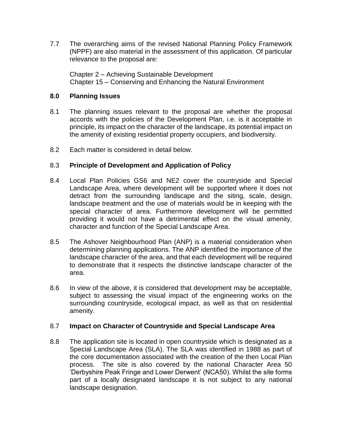7.7 The overarching aims of the revised National Planning Policy Framework (NPPF) are also material in the assessment of this application. Of particular relevance to the proposal are:

Chapter 2 – Achieving Sustainable Development Chapter 15 – Conserving and Enhancing the Natural Environment

## **8.0 Planning Issues**

- 8.1 The planning issues relevant to the proposal are whether the proposal accords with the policies of the Development Plan, i.e. is it acceptable in principle, its impact on the character of the landscape, its potential impact on the amenity of existing residential property occupiers, and biodiversity.
- 8.2 Each matter is considered in detail below.

# 8.3 **Principle of Development and Application of Policy**

- 8.4 Local Plan Policies GS6 and NE2 cover the countryside and Special Landscape Area, where development will be supported where it does not detract from the surrounding landscape and the siting, scale, design, landscape treatment and the use of materials would be in keeping with the special character of area. Furthermore development will be permitted providing it would not have a detrimental effect on the visual amenity, character and function of the Special Landscape Area.
- 8.5 The Ashover Neighbourhood Plan (ANP) is a material consideration when determining planning applications. The ANP identified the importance of the landscape character of the area, and that each development will be required to demonstrate that it respects the distinctive landscape character of the area.
- 8.6 In view of the above, it is considered that development may be acceptable, subject to assessing the visual impact of the engineering works on the surrounding countryside, ecological impact, as well as that on residential amenity.

## 8.7 **Impact on Character of Countryside and Special Landscape Area**

8.8 The application site is located in open countryside which is designated as a Special Landscape Area (SLA). The SLA was identified in 1988 as part of the core documentation associated with the creation of the then Local Plan process. The site is also covered by the national Character Area 50 'Derbyshire Peak Fringe and Lower Derwent' (NCA50). Whilst the site forms part of a locally designated landscape it is not subject to any national landscape designation.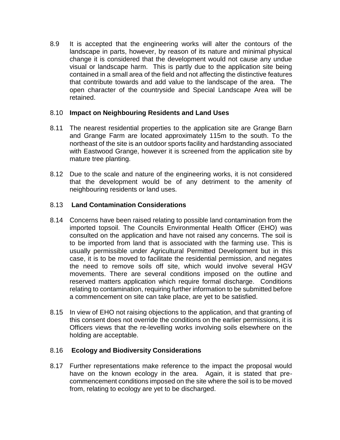8.9 It is accepted that the engineering works will alter the contours of the landscape in parts, however, by reason of its nature and minimal physical change it is considered that the development would not cause any undue visual or landscape harm. This is partly due to the application site being contained in a small area of the field and not affecting the distinctive features that contribute towards and add value to the landscape of the area. The open character of the countryside and Special Landscape Area will be retained.

## 8.10 **Impact on Neighbouring Residents and Land Uses**

- 8.11 The nearest residential properties to the application site are Grange Barn and Grange Farm are located approximately 115m to the south. To the northeast of the site is an outdoor sports facility and hardstanding associated with Eastwood Grange, however it is screened from the application site by mature tree planting.
- 8.12 Due to the scale and nature of the engineering works, it is not considered that the development would be of any detriment to the amenity of neighbouring residents or land uses.

## 8.13 **Land Contamination Considerations**

- 8.14 Concerns have been raised relating to possible land contamination from the imported topsoil. The Councils Environmental Health Officer (EHO) was consulted on the application and have not raised any concerns. The soil is to be imported from land that is associated with the farming use. This is usually permissible under Agricultural Permitted Development but in this case, it is to be moved to facilitate the residential permission, and negates the need to remove soils off site, which would involve several HGV movements. There are several conditions imposed on the outline and reserved matters application which require formal discharge. Conditions relating to contamination, requiring further information to be submitted before a commencement on site can take place, are yet to be satisfied.
- 8.15 In view of EHO not raising objections to the application, and that granting of this consent does not override the conditions on the earlier permissions, it is Officers views that the re-levelling works involving soils elsewhere on the holding are acceptable.

# 8.16 **Ecology and Biodiversity Considerations**

8.17 Further representations make reference to the impact the proposal would have on the known ecology in the area. Again, it is stated that precommencement conditions imposed on the site where the soil is to be moved from, relating to ecology are yet to be discharged.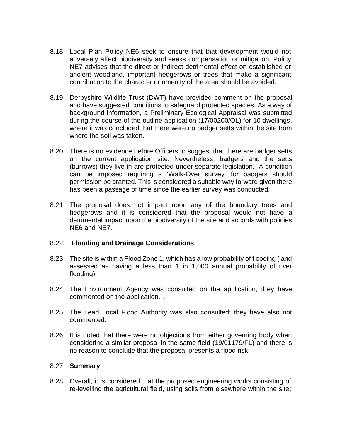- 8.18 Local Plan Policy NE6 seek to ensure that that development would not adversely affect biodiversity and seeks compensation or mitigation. Policy NE7 advises that the direct or indirect detrimental effect on established or ancient woodland, important hedgerows or trees that make a significant contribution to the character or amenity of the area should be avoided.
- 8.19 Derbyshire Wildlife Trust (DWT) have provided comment on the proposal and have suggested conditions to safeguard protected species. As a way of background information, a Preliminary Ecological Appraisal was submitted during the course of the outline application (17/00200/OL) for 10 dwellings, where it was concluded that there were no badger setts within the site from where the soil was taken.
- 8.20 There is no evidence before Officers to suggest that there are badger setts on the current application site. Nevertheless, badgers and the setts (burrows) they live in are protected under separate legislation. A condition can be imposed requiring a 'Walk-Over survey' for badgers should permission be granted. This is considered a suitable way forward given there has been a passage of time since the earlier survey was conducted.
- 8.21 The proposal does not impact upon any of the boundary trees and hedgerows and it is considered that the proposal would not have a detrimental impact upon the biodiversity of the site and accords with policies NE6 and NE7.

#### 8.22 **Flooding and Drainage Considerations**

- 8.23 The site is within a Flood Zone 1, which has a low probability of flooding (land assessed as having a less than 1 in 1,000 annual probability of river flooding).
- 8.24 The Environment Agency was consulted on the application, they have commented on the application. .
- 8.25 The Lead Local Flood Authority was also consulted; they have also not commented.
- 8.26 It is noted that there were no objections from either governing body when considering a similar proposal in the same field (19/01179/FL) and there is no reason to conclude that the proposal presents a flood risk.

## 8.27 **Summary**

8.28 Overall, it is considered that the proposed engineering works consisting of re-levelling the agricultural field, using soils from elsewhere within the site;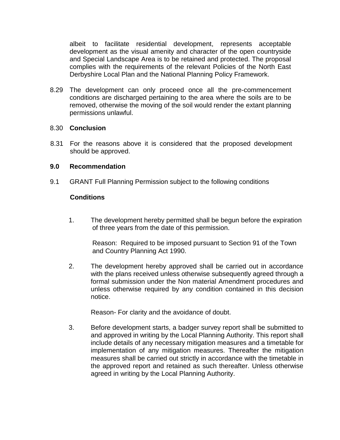albeit to facilitate residential development, represents acceptable development as the visual amenity and character of the open countryside and Special Landscape Area is to be retained and protected. The proposal complies with the requirements of the relevant Policies of the North East Derbyshire Local Plan and the National Planning Policy Framework.

8.29 The development can only proceed once all the pre-commencement conditions are discharged pertaining to the area where the soils are to be removed, otherwise the moving of the soil would render the extant planning permissions unlawful.

#### 8.30 **Conclusion**

8.31 For the reasons above it is considered that the proposed development should be approved.

#### **9.0 Recommendation**

9.1 GRANT Full Planning Permission subject to the following conditions

## **Conditions**

1. The development hereby permitted shall be begun before the expiration of three years from the date of this permission.

Reason: Required to be imposed pursuant to Section 91 of the Town and Country Planning Act 1990.

2. The development hereby approved shall be carried out in accordance with the plans received unless otherwise subsequently agreed through a formal submission under the Non material Amendment procedures and unless otherwise required by any condition contained in this decision notice.

Reason- For clarity and the avoidance of doubt.

3. Before development starts, a badger survey report shall be submitted to and approved in writing by the Local Planning Authority. This report shall include details of any necessary mitigation measures and a timetable for implementation of any mitigation measures. Thereafter the mitigation measures shall be carried out strictly in accordance with the timetable in the approved report and retained as such thereafter. Unless otherwise agreed in writing by the Local Planning Authority.